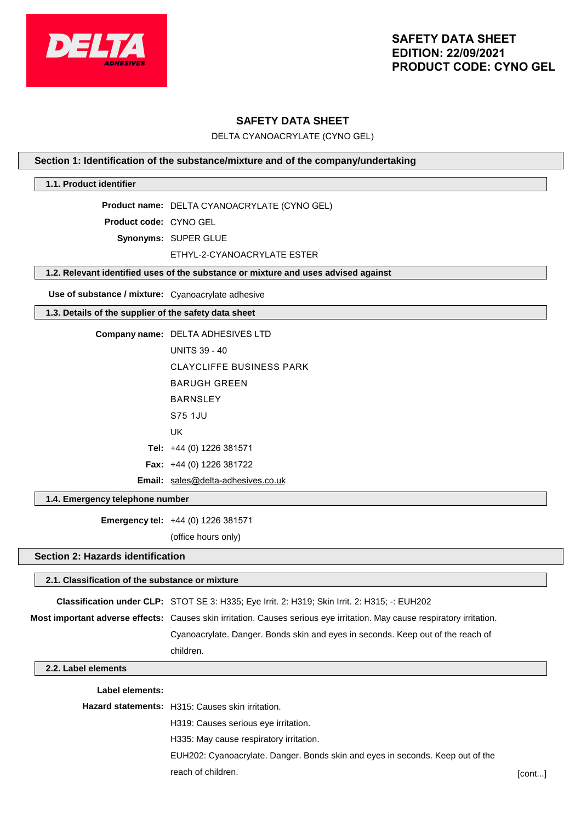

# **SAFETY DATA SHEET**

DELTA CYANOACRYLATE (CYNO GEL)

#### **Section 1: Identification of the substance/mixture and of the company/undertaking**

#### **1.1. Product identifier**

**Product name:** DELTA CYANOACRYLATE (CYNO GEL)

**Product code:** CYNO GEL

**Synonyms:** SUPER GLUE

#### ETHYL-2-CYANOACRYLATE ESTER

### **1.2. Relevant identified uses of the substance or mixture and uses advised against**

**Use of substance / mixture:** Cyanoacrylate adhesive

#### **1.3. Details of the supplier of the safety data sheet**

| <b>Company name: DELTA ADHESIVES LTD</b>  |
|-------------------------------------------|
| <b>UNITS 39 - 40</b>                      |
| CLAYCLIFFE BUSINESS PARK                  |
| BARUGH GRFFN                              |
| <b>BARNSLEY</b>                           |
| S75 1.JU                                  |
| UK                                        |
| <b>Tel:</b> $+44$ (0) 1226 381571         |
| <b>Fax:</b> $+44$ (0) 1226 381722         |
| <b>Email:</b> sales@delta-adhesives.co.uk |
|                                           |

#### **1.4. Emergency telephone number**

**Emergency tel:** +44 (0) 1226 381571

(office hours only)

#### **Section 2: Hazards identification**

# **2.1. Classification of the substance or mixture Classification under CLP:** STOT SE 3: H335; Eye Irrit. 2: H319; Skin Irrit. 2: H315; -: EUH202 **Most important adverse effects:** Causes skin irritation. Causes serious eye irritation. May cause respiratory irritation. Cyanoacrylate. Danger. Bonds skin and eyes in seconds. Keep out of the reach of children.

### **2.2. Label elements**

#### **Label elements:**

| <b>Hazard statements:</b> H315: Causes skin irritation.                        |        |
|--------------------------------------------------------------------------------|--------|
| H319: Causes serious eye irritation.                                           |        |
| H335: May cause respiratory irritation.                                        |        |
| EUH202: Cyanoacrylate. Danger. Bonds skin and eyes in seconds. Keep out of the |        |
| reach of children.                                                             | [cont] |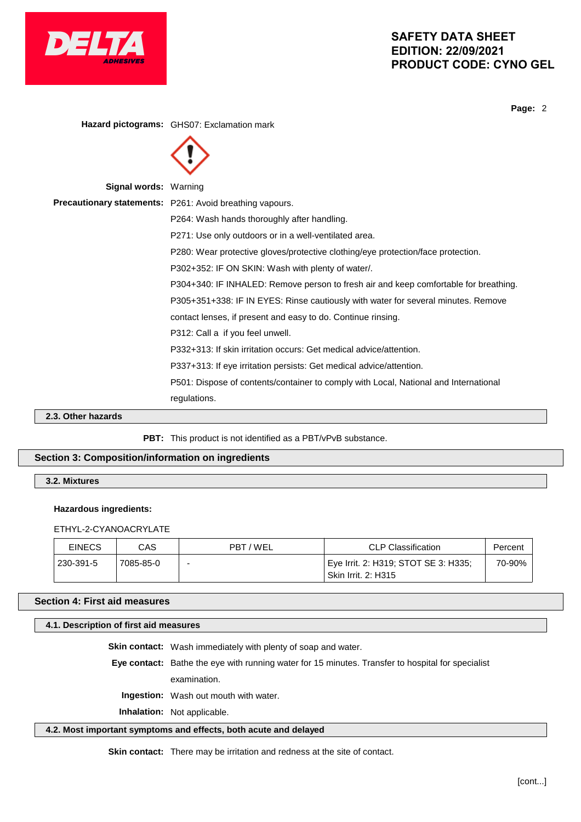

# **SAFETY DATA SHEET EDITION: 22/09/2021 PRODUCT CODE: CYNO GEL**

**Page:** 2

**Hazard pictograms:** GHS07: Exclamation mark **Signal words:** Warning **Precautionary statements:** P261: Avoid breathing vapours. P264: Wash hands thoroughly after handling. P271: Use only outdoors or in a well-ventilated area. P280: Wear protective gloves/protective clothing/eye protection/face protection. P302+352: IF ON SKIN: Wash with plenty of water/. P304+340: IF INHALED: Remove person to fresh air and keep comfortable for breathing. P305+351+338: IF IN EYES: Rinse cautiously with water for several minutes. Remove contact lenses, if present and easy to do. Continue rinsing. P312: Call a if you feel unwell. P332+313: If skin irritation occurs: Get medical advice/attention. P337+313: If eye irritation persists: Get medical advice/attention. P501: Dispose of contents/container to comply with Local, National and International regulations.

**2.3. Other hazards**

PBT: This product is not identified as a PBT/vPvB substance.

# **Section 3: Composition/information on ingredients**

**3.2. Mixtures**

#### **Hazardous ingredients:**

ETHYL-2-CYANOACRYLATE

| <b>EINECS</b> | CAS       | PBT/WEL | CLP Classification                                                              | Percent |
|---------------|-----------|---------|---------------------------------------------------------------------------------|---------|
| 230-391-5     | 7085-85-0 | -       | <sup>∣</sup> Eye Irrit. 2: H319; STOT SE 3: H335;<br><b>Skin Irrit. 2: H315</b> | 70-90%  |

#### **Section 4: First aid measures**

#### **4.1. Description of first aid measures**

**Skin contact:** Wash immediately with plenty of soap and water.

**Eye contact:** Bathe the eye with running water for 15 minutes. Transfer to hospital for specialist

examination.

**Ingestion:** Wash out mouth with water.

**Inhalation:** Not applicable.

#### **4.2. Most important symptoms and effects, both acute and delayed**

**Skin contact:** There may be irritation and redness at the site of contact.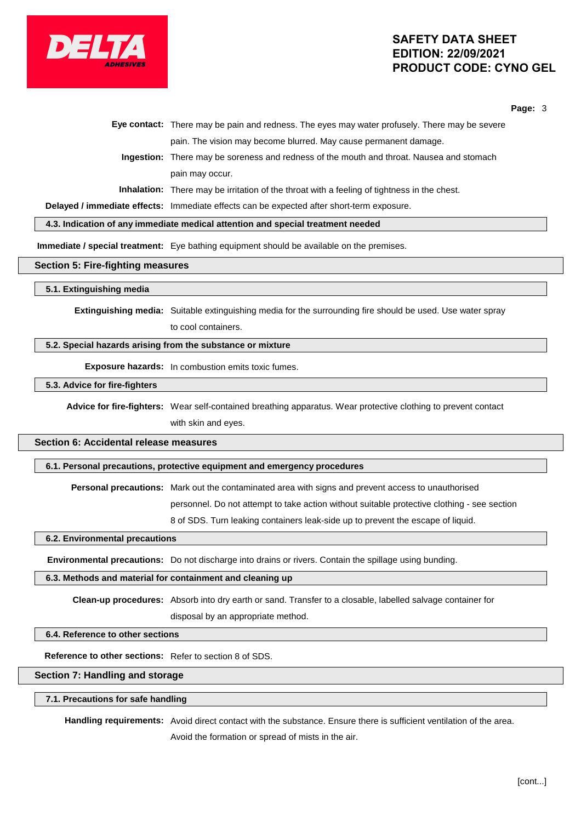

# **SAFETY DATA SHEET EDITION: 22/09/2021 PRODUCT CODE: CYNO GEL**

**Page:** 3

| Eye contact: There may be pain and redness. The eyes may water profusely. There may be severe      |
|----------------------------------------------------------------------------------------------------|
| pain. The vision may become blurred. May cause permanent damage.                                   |
| <b>Ingestion:</b> There may be soreness and redness of the mouth and throat. Nausea and stomach    |
| pain may occur.                                                                                    |
| <b>Inhalation:</b> There may be irritation of the throat with a feeling of tightness in the chest. |
|                                                                                                    |

**Delayed / immediate effects:** Immediate effects can be expected after short-term exposure.

**4.3. Indication of any immediate medical attention and special treatment needed**

**Immediate / special treatment:** Eye bathing equipment should be available on the premises.

#### **Section 5: Fire-fighting measures**

#### **5.1. Extinguishing media**

**Extinguishing media:** Suitable extinguishing media for the surrounding fire should be used. Use water spray to cool containers.

#### **5.2. Special hazards arising from the substance or mixture**

**Exposure hazards:** In combustion emits toxic fumes.

#### **5.3. Advice for fire-fighters**

**Advice for fire-fighters:** Wear self-contained breathing apparatus. Wear protective clothing to prevent contact with skin and eyes.

# **Section 6: Accidental release measures**

#### **6.1. Personal precautions, protective equipment and emergency procedures**

**Personal precautions:** Mark out the contaminated area with signs and prevent access to unauthorised

personnel. Do not attempt to take action without suitable protective clothing - see section

8 of SDS. Turn leaking containers leak-side up to prevent the escape of liquid.

#### **6.2. Environmental precautions**

**Environmental precautions:** Do not discharge into drains or rivers. Contain the spillage using bunding.

#### **6.3. Methods and material for containment and cleaning up**

**Clean-up procedures:** Absorb into dry earth or sand. Transfer to a closable, labelled salvage container for disposal by an appropriate method.

#### **6.4. Reference to other sections**

**Reference to other sections:** Refer to section 8 of SDS.

#### **Section 7: Handling and storage**

#### **7.1. Precautions for safe handling**

**Handling requirements:** Avoid direct contact with the substance. Ensure there is sufficient ventilation of the area. Avoid the formation or spread of mists in the air.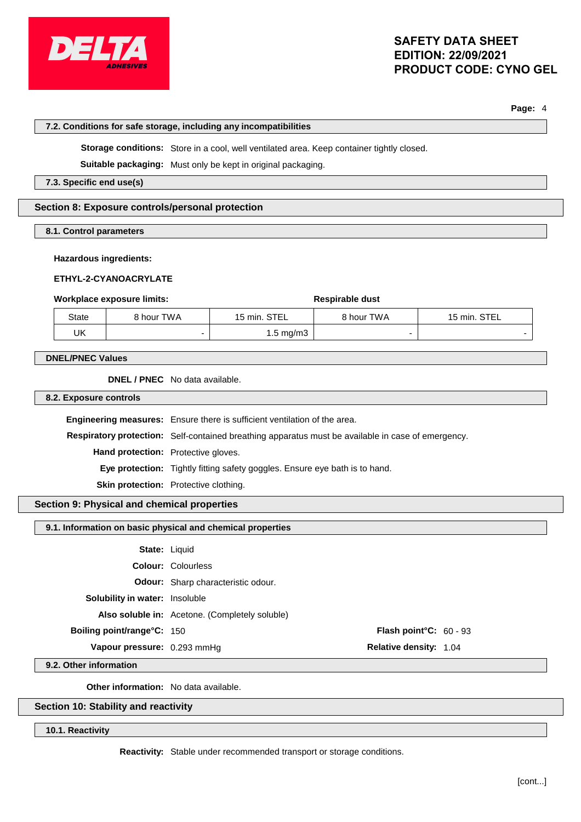

# **SAFETY DATA SHEET EDITION: 22/09/2021 PRODUCT CODE: CYNO GEL**

**Page:** 4

|                                                                                             |                          | 7.2. Conditions for safe storage, including any incompatibilities |                                                                                                          |                               |              |
|---------------------------------------------------------------------------------------------|--------------------------|-------------------------------------------------------------------|----------------------------------------------------------------------------------------------------------|-------------------------------|--------------|
|                                                                                             |                          |                                                                   | Storage conditions: Store in a cool, well ventilated area. Keep container tightly closed.                |                               |              |
|                                                                                             |                          |                                                                   | Suitable packaging: Must only be kept in original packaging.                                             |                               |              |
|                                                                                             | 7.3. Specific end use(s) |                                                                   |                                                                                                          |                               |              |
|                                                                                             |                          | Section 8: Exposure controls/personal protection                  |                                                                                                          |                               |              |
|                                                                                             | 8.1. Control parameters  |                                                                   |                                                                                                          |                               |              |
| <b>Hazardous ingredients:</b><br>ETHYL-2-CYANOACRYLATE<br><b>Workplace exposure limits:</b> |                          |                                                                   |                                                                                                          |                               |              |
|                                                                                             | <b>State</b>             | 8 hour TWA                                                        | 15 min. STEL                                                                                             | Respirable dust<br>8 hour TWA | 15 min. STEL |
|                                                                                             | UK.                      | -                                                                 | $1.5 \text{ mg/m}$ 3                                                                                     |                               |              |
| <b>DNEL/PNEC Values</b><br>DNEL / PNEC No data available.                                   |                          |                                                                   |                                                                                                          |                               |              |
|                                                                                             | 8.2. Exposure controls   |                                                                   |                                                                                                          |                               |              |
| <b>Engineering measures:</b> Ensure there is sufficient ventilation of the area.            |                          |                                                                   |                                                                                                          |                               |              |
|                                                                                             |                          |                                                                   | <b>Respiratory protection:</b> Self-contained breathing apparatus must be available in case of emergency |                               |              |

**Respiratory protection:** Self-contained breathing apparatus must be available in case of emergency. **Hand protection:** Protective gloves. **Eye protection:** Tightly fitting safety goggles. Ensure eye bath is to hand. **Skin protection:** Protective clothing.

# **Section 9: Physical and chemical properties**

# **9.1. Information on basic physical and chemical properties**

| <b>State: Liquid</b>                  |                                                |                                  |  |
|---------------------------------------|------------------------------------------------|----------------------------------|--|
|                                       | <b>Colour: Colourless</b>                      |                                  |  |
|                                       | <b>Odour:</b> Sharp characteristic odour.      |                                  |  |
| <b>Solubility in water:</b> Insoluble |                                                |                                  |  |
|                                       | Also soluble in: Acetone. (Completely soluble) |                                  |  |
| <b>Boiling point/range°C: 150</b>     |                                                | <b>Flash point °C:</b> $60 - 93$ |  |
| Vapour pressure: 0.293 mmHg           |                                                | <b>Relative density: 1.04</b>    |  |
|                                       |                                                |                                  |  |

**9.2. Other information**

**Other information:** No data available.

# **Section 10: Stability and reactivity**

**10.1. Reactivity**

**Reactivity:** Stable under recommended transport or storage conditions.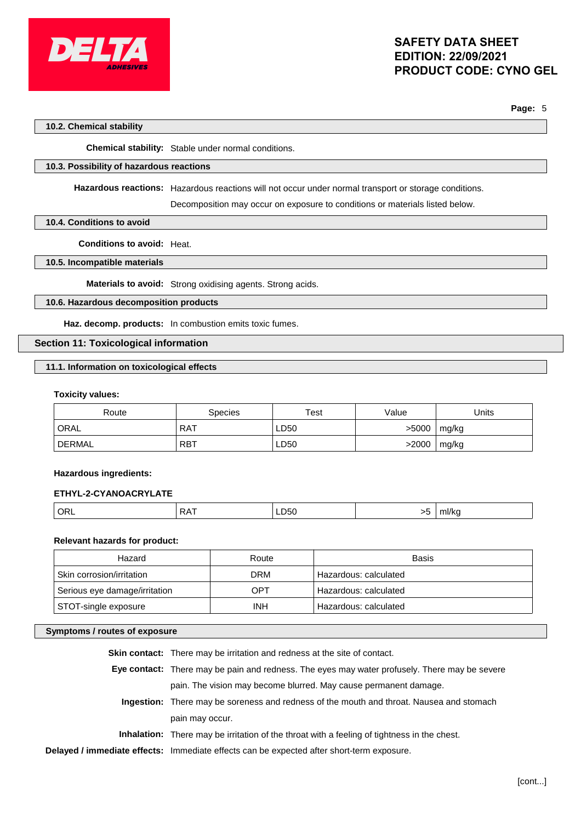

**Page:** 5

#### **10.2. Chemical stability**

**Chemical stability:** Stable under normal conditions.

#### **10.3. Possibility of hazardous reactions**

**Hazardous reactions:** Hazardous reactions will not occur under normal transport or storage conditions.

Decomposition may occur on exposure to conditions or materials listed below.

#### **10.4. Conditions to avoid**

**Conditions to avoid:** Heat.

#### **10.5. Incompatible materials**

**Materials to avoid:** Strong oxidising agents. Strong acids.

### **10.6. Hazardous decomposition products**

**Haz. decomp. products:** In combustion emits toxic fumes.

# **Section 11: Toxicological information**

#### **11.1. Information on toxicological effects**

#### **Toxicity values:**

| Route         | Species    | Test | Value | Jnits |
|---------------|------------|------|-------|-------|
| ORAL          | <b>RAT</b> | LD50 | >5000 | mg/kg |
| <b>DERMAL</b> | <b>RBT</b> | LD50 | >2000 | mg/kg |

#### **Hazardous ingredients:**

#### **ETHYL-2-CYANOACRYLATE**

|  | $^{\circ}$ ORL | A<br>. .<br>$\mathbf{v}$ | LD50<br>$ -$ |  | $^{\prime\prime}$ iiii/ne<br>$\sim$ $\sim$ |
|--|----------------|--------------------------|--------------|--|--------------------------------------------|
|--|----------------|--------------------------|--------------|--|--------------------------------------------|

### **Relevant hazards for product:**

| Hazard                        | Route      | Basis                 |
|-------------------------------|------------|-----------------------|
| Skin corrosion/irritation     | DRM        | Hazardous: calculated |
| Serious eye damage/irritation | OPT        | Hazardous: calculated |
| STOT-single exposure          | <b>INH</b> | Hazardous: calculated |

#### **Symptoms / routes of exposure**

| <b>Skin contact:</b> There may be irritation and redness at the site of contact.                   |
|----------------------------------------------------------------------------------------------------|
| Eye contact: There may be pain and redness. The eyes may water profusely. There may be severe      |
| pain. The vision may become blurred. May cause permanent damage.                                   |
| <b>Ingestion:</b> There may be soreness and redness of the mouth and throat. Nausea and stomach    |
| pain may occur.                                                                                    |
| <b>Inhalation:</b> There may be irritation of the throat with a feeling of tightness in the chest. |
| Delayed / immediate effects: Immediate effects can be expected after short-term exposure.          |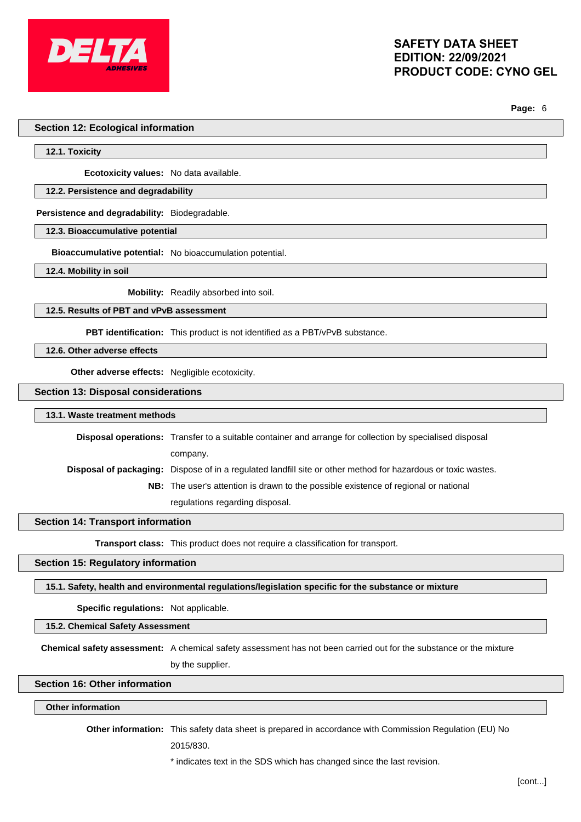

**Page:** 6

#### **Section 12: Ecological information**

**12.1. Toxicity**

**Ecotoxicity values:** No data available.

#### **12.2. Persistence and degradability**

**Persistence and degradability:** Biodegradable.

**12.3. Bioaccumulative potential**

**Bioaccumulative potential:** No bioaccumulation potential.

**12.4. Mobility in soil**

**Mobility:** Readily absorbed into soil.

**12.5. Results of PBT and vPvB assessment**

**PBT identification:** This product is not identified as a PBT/vPvB substance.

**12.6. Other adverse effects**

**Other adverse effects:** Negligible ecotoxicity.

**Section 13: Disposal considerations**

**13.1. Waste treatment methods**

**Disposal operations:** Transfer to a suitable container and arrange for collection by specialised disposal company. **Disposal of packaging:** Dispose of in a regulated landfill site or other method for hazardous or toxic wastes. **NB:** The user's attention is drawn to the possible existence of regional or national

regulations regarding disposal.

**Section 14: Transport information**

**Transport class:** This product does not require a classification for transport.

**Section 15: Regulatory information**

**15.1. Safety, health and environmental regulations/legislation specific for the substance or mixture**

**Specific regulations:** Not applicable.

**15.2. Chemical Safety Assessment**

**Chemical safety assessment:** A chemical safety assessment has not been carried out for the substance or the mixture by the supplier.

# **Section 16: Other information**

#### **Other information**

**Other information:** This safety data sheet is prepared in accordance with Commission Regulation (EU) No

2015/830.

\* indicates text in the SDS which has changed since the last revision.